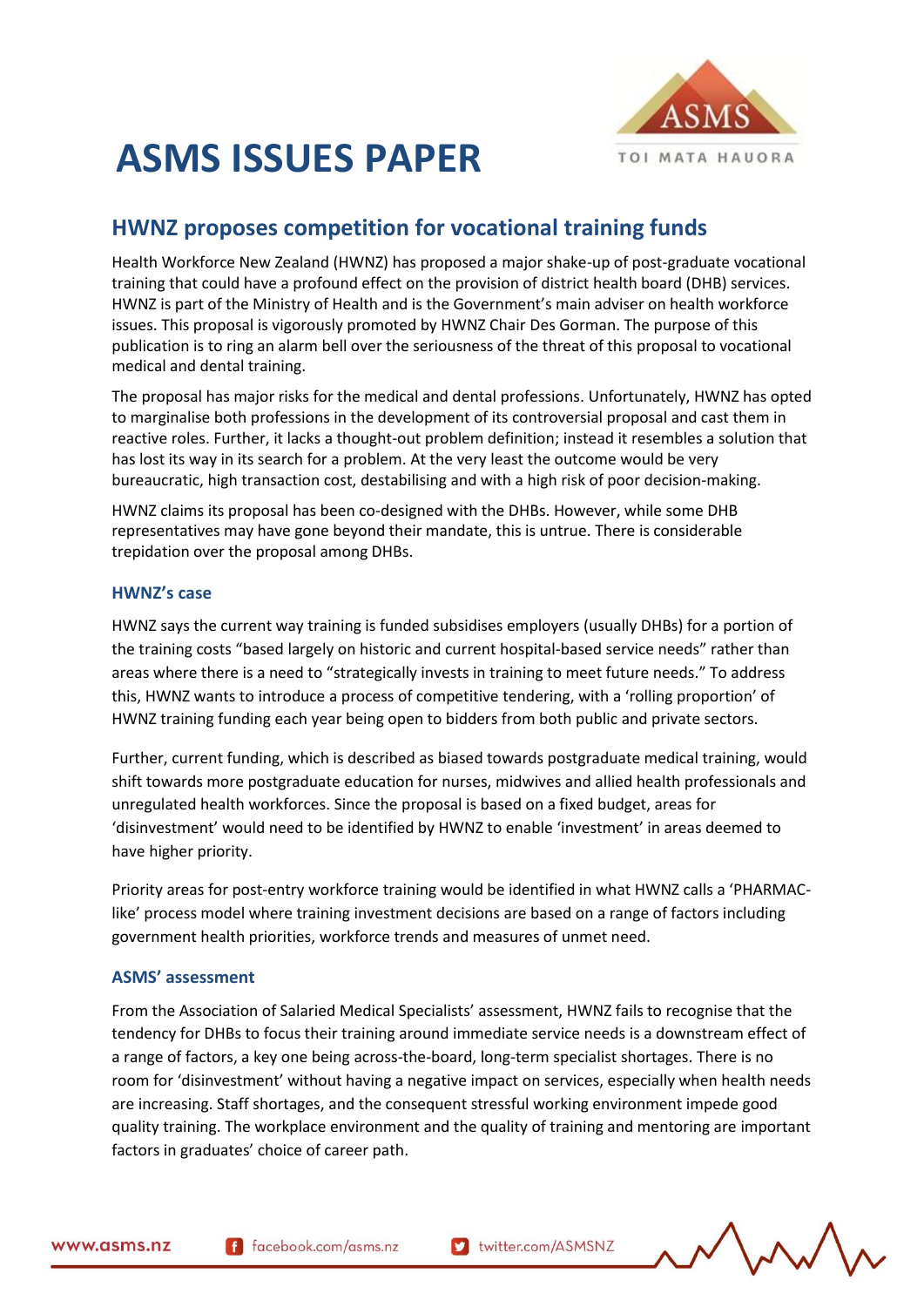

# **ASMS ISSUES PAPER**

## **HWNZ proposes competition for vocational training funds**

Health Workforce New Zealand (HWNZ) has proposed a major shake-up of post-graduate vocational training that could have a profound effect on the provision of district health board (DHB) services. HWNZ is part of the Ministry of Health and is the Government's main adviser on health workforce issues. This proposal is vigorously promoted by HWNZ Chair Des Gorman. The purpose of this publication is to ring an alarm bell over the seriousness of the threat of this proposal to vocational medical and dental training.

The proposal has major risks for the medical and dental professions. Unfortunately, HWNZ has opted to marginalise both professions in the development of its controversial proposal and cast them in reactive roles. Further, it lacks a thought-out problem definition; instead it resembles a solution that has lost its way in its search for a problem. At the very least the outcome would be very bureaucratic, high transaction cost, destabilising and with a high risk of poor decision-making.

HWNZ claims its proposal has been co-designed with the DHBs. However, while some DHB representatives may have gone beyond their mandate, this is untrue. There is considerable trepidation over the proposal among DHBs.

#### **HWNZ's case**

HWNZ says the current way training is funded subsidises employers (usually DHBs) for a portion of the training costs "based largely on historic and current hospital-based service needs" rather than areas where there is a need to "strategically invests in training to meet future needs." To address this, HWNZ wants to introduce a process of competitive tendering, with a 'rolling proportion' of HWNZ training funding each year being open to bidders from both public and private sectors.

Further, current funding, which is described as biased towards postgraduate medical training, would shift towards more postgraduate education for nurses, midwives and allied health professionals and unregulated health workforces. Since the proposal is based on a fixed budget, areas for 'disinvestment' would need to be identified by HWNZ to enable 'investment' in areas deemed to have higher priority.

Priority areas for post-entry workforce training would be identified in what HWNZ calls a 'PHARMAClike' process model where training investment decisions are based on a range of factors including government health priorities, workforce trends and measures of unmet need.

### **ASMS' assessment**

From the Association of Salaried Medical Specialists' assessment, HWNZ fails to recognise that the tendency for DHBs to focus their training around immediate service needs is a downstream effect of a range of factors, a key one being across-the-board, long-term specialist shortages. There is no room for 'disinvestment' without having a negative impact on services, especially when health needs are increasing. Staff shortages, and the consequent stressful working environment impede good quality training. The workplace environment and the quality of training and mentoring are important factors in graduates' choice of career path.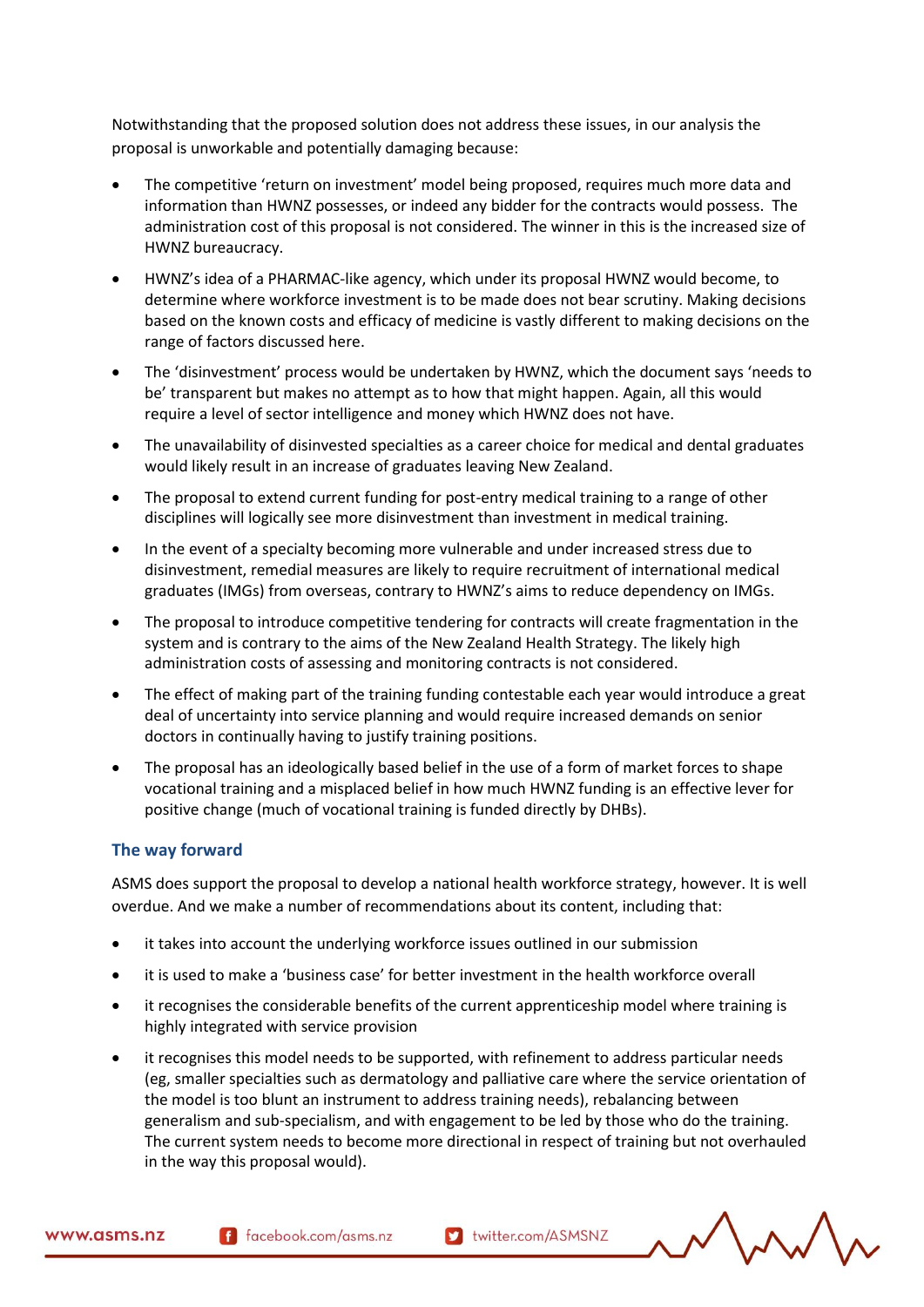Notwithstanding that the proposed solution does not address these issues, in our analysis the proposal is unworkable and potentially damaging because:

- The competitive 'return on investment' model being proposed, requires much more data and information than HWNZ possesses, or indeed any bidder for the contracts would possess. The administration cost of this proposal is not considered. The winner in this is the increased size of HWNZ bureaucracy.
- HWNZ's idea of a PHARMAC-like agency, which under its proposal HWNZ would become, to determine where workforce investment is to be made does not bear scrutiny. Making decisions based on the known costs and efficacy of medicine is vastly different to making decisions on the range of factors discussed here.
- The 'disinvestment' process would be undertaken by HWNZ, which the document says 'needs to be' transparent but makes no attempt as to how that might happen. Again, all this would require a level of sector intelligence and money which HWNZ does not have.
- The unavailability of disinvested specialties as a career choice for medical and dental graduates would likely result in an increase of graduates leaving New Zealand.
- The proposal to extend current funding for post-entry medical training to a range of other disciplines will logically see more disinvestment than investment in medical training.
- In the event of a specialty becoming more vulnerable and under increased stress due to disinvestment, remedial measures are likely to require recruitment of international medical graduates (IMGs) from overseas, contrary to HWNZ's aims to reduce dependency on IMGs.
- The proposal to introduce competitive tendering for contracts will create fragmentation in the system and is contrary to the aims of the New Zealand Health Strategy. The likely high administration costs of assessing and monitoring contracts is not considered.
- The effect of making part of the training funding contestable each year would introduce a great deal of uncertainty into service planning and would require increased demands on senior doctors in continually having to justify training positions.
- The proposal has an ideologically based belief in the use of a form of market forces to shape vocational training and a misplaced belief in how much HWNZ funding is an effective lever for positive change (much of vocational training is funded directly by DHBs).

#### **The way forward**

ASMS does support the proposal to develop a national health workforce strategy, however. It is well overdue. And we make a number of recommendations about its content, including that:

- it takes into account the underlying workforce issues outlined in our submission
- it is used to make a 'business case' for better investment in the health workforce overall
- it recognises the considerable benefits of the current apprenticeship model where training is highly integrated with service provision
- it recognises this model needs to be supported, with refinement to address particular needs (eg, smaller specialties such as dermatology and palliative care where the service orientation of the model is too blunt an instrument to address training needs), rebalancing between generalism and sub-specialism, and with engagement to be led by those who do the training. The current system needs to become more directional in respect of training but not overhauled in the way this proposal would).

f facebook.com/asms.nz